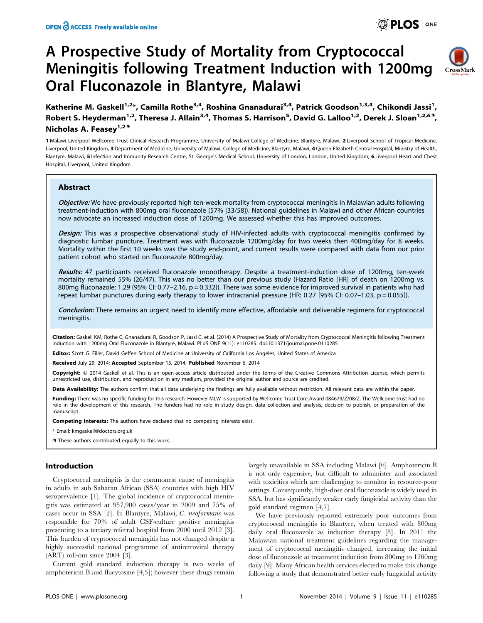# A Prospective Study of Mortality from Cryptococcal Meningitis following Treatment Induction with 1200mg Oral Fluconazole in Blantyre, Malawi



Katherine M. Gaskell<sup>1,2</sup>\*, Camilla Rothe<sup>3,4</sup>, Roshina Gnanadurai<sup>3,4</sup>, Patrick Goodson<sup>1,3,4</sup>, Chikondi Jassi<sup>1</sup>, Robert S. Heyderman<sup>1,2</sup>, Theresa J. Allain<sup>3,4</sup>, Thomas S. Harrison<sup>5</sup>, David G. Lalloo<sup>1,2</sup>, Derek J. Sloan<sup>1,2,69</sup>, Nicholas A. Feasey<sup>1,29</sup>

1 Malawi Liverpool Wellcome Trust Clinical Research Programme, University of Malawi College of Medicine, Blantyre, Malawi, 2 Liverpool School of Tropical Medicine, Liverpool, United Kingdom, 3 Department of Medicine, University of Malawi, College of Medicine, Blantyre, Malawi, 4Queen Elizabeth Central Hospital, Ministry of Health, Blantyre, Malawi, 5 Infection and Immunity Research Centre, St. George's Medical School, University of London, London, United Kingdom, 6 Liverpool Heart and Chest Hospital, Liverpool, United Kingdom

# Abstract

Objective: We have previously reported high ten-week mortality from cryptococcal meningitis in Malawian adults following treatment-induction with 800mg oral fluconazole (57% [33/58]). National guidelines in Malawi and other African countries now advocate an increased induction dose of 1200mg. We assessed whether this has improved outcomes.

Design: This was a prospective observational study of HIV-infected adults with cryptococcal meningitis confirmed by diagnostic lumbar puncture. Treatment was with fluconazole 1200mg/day for two weeks then 400mg/day for 8 weeks. Mortality within the first 10 weeks was the study end-point, and current results were compared with data from our prior patient cohort who started on fluconazole 800mg/day.

Results: 47 participants received fluconazole monotherapy. Despite a treatment-induction dose of 1200mg, ten-week mortality remained 55% (26/47). This was no better than our previous study (Hazard Ratio [HR] of death on 1200mg vs. 800mg fluconazole: 1.29 (95% CI: 0.77–2.16, p = 0.332)). There was some evidence for improved survival in patients who had repeat lumbar punctures during early therapy to lower intracranial pressure (HR: 0.27 [95% CI: 0.07-1.03, p = 0.055]).

Conclusion: There remains an urgent need to identify more effective, affordable and deliverable regimens for cryptococcal meningitis.

Citation: Gaskell KM, Rothe C, Gnanadurai R, Goodson P, Jassi C, et al. (2014) A Prospective Study of Mortality from Cryptococcal Meningitis following Treatment Induction with 1200mg Oral Fluconazole in Blantyre, Malawi. PLoS ONE 9(11): e110285. doi:10.1371/journal.pone.0110285

Editor: Scott G. Filler, David Geffen School of Medicine at University of California Los Angeles, United States of America

Received July 29, 2014; Accepted September 15, 2014; Published November 6, 2014

Copyright: © 2014 Gaskell et al. This is an open-access article distributed under the terms of the [Creative Commons Attribution License](http://creativecommons.org/licenses/by/4.0/), which permits unrestricted use, distribution, and reproduction in any medium, provided the original author and source are credited.

Data Availability: The authors confirm that all data underlying the findings are fully available without restriction. All relevant data are within the paper.

Funding: There was no specific funding for this research. However MLW is supported by Wellcome Trust Core Award 084679/Z/08/Z. The Wellcome trust had no role in the development of this research. The funders had no role in study design, data collection and analysis, decision to publish, or preparation of the manuscript.

Competing Interests: The authors have declared that no competing interests exist.

\* Email: kmgaskell@doctors.org.uk

**.** These authors contributed equally to this work.

#### Introduction

Cryptococcal meningitis is the commonest cause of meningitis in adults in sub Saharan African (SSA) countries with high HIV seroprevalence [1]. The global incidence of cryptococcal meningitis was estimated at 957,900 cases/year in 2009 and 75% of cases occur in SSA [2]. In Blantyre, Malawi, C. neoformans was responsible for 70% of adult CSF-culture positive meningitis presenting to a tertiary referral hospital from 2000 until 2012 [3]. This burden of cryptococcal meningitis has not changed despite a highly successful national programme of antiretroviral therapy (ART) roll-out since 2004 [3].

Current gold standard induction therapy is two weeks of amphotericin B and flucytosine [4,5]; however these drugs remain

largely unavailable in SSA including Malawi [6]. Amphotericin B is not only expensive, but difficult to administer and associated with toxicities which are challenging to monitor in resource-poor settings. Consequently, high-dose oral fluconazole is widely used in SSA, but has significantly weaker early fungicidal activity than the gold standard regimen [4,7].

We have previously reported extremely poor outcomes from cryptococcal meningitis in Blantyre, when treated with 800mg daily oral fluconazole as induction therapy [8]. In 2011 the Malawian national treatment guidelines regarding the management of cryptococcal meningitis changed, increasing the initial dose of fluconazole at treatment induction from 800mg to 1200mg daily [9]. Many African health services elected to make this change following a study that demonstrated better early fungicidal activity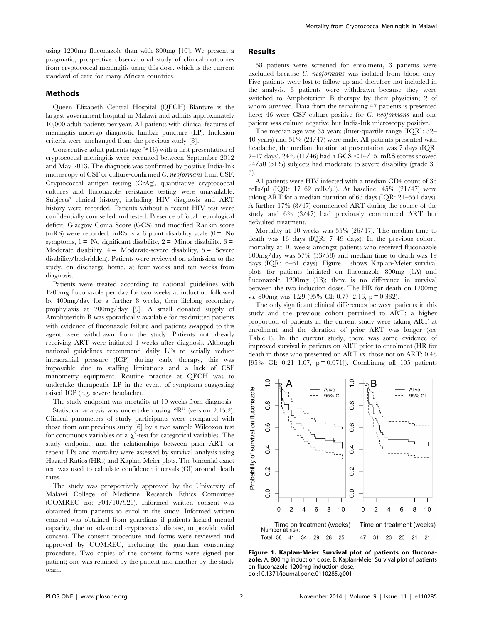using 1200mg fluconazole than with 800mg [10]. We present a pragmatic, prospective observational study of clinical outcomes from cryptococcal meningitis using this dose, which is the current standard of care for many African countries.

# Methods

Queen Elizabeth Central Hospital (QECH) Blantyre is the largest government hospital in Malawi and admits approximately 10,000 adult patients per year. All patients with clinical features of meningitis undergo diagnostic lumbar puncture (LP). Inclusion criteria were unchanged from the previous study [8].

Consecutive adult patients (age  $\geq 16$ ) with a first presentation of cryptococcal meningitis were recruited between September 2012 and May 2013. The diagnosis was confirmed by positive India-Ink microscopy of CSF or culture-confirmed C. neoformans from CSF. Cryptococcal antigen testing (CrAg), quantitative cryptococcal cultures and fluconazole resistance testing were unavailable. Subjects' clinical history, including HIV diagnosis and ART history were recorded. Patients without a recent HIV test were confidentially counselled and tested. Presence of focal neurological deficit, Glasgow Coma Score (GCS) and modified Rankin score (mRS) were recorded. mRS is a 6 point disability scale  $(0 = No$ symptoms,  $1 = No$  significant disability,  $2 = Minor$  disability,  $3 =$ Moderate disability,  $4 =$  Moderate-severe disability,  $5 =$  Severe disability/bed-ridden). Patients were reviewed on admission to the study, on discharge home, at four weeks and ten weeks from diagnosis.

Patients were treated according to national guidelines with 1200mg fluconazole per day for two weeks at induction followed by 400mg/day for a further 8 weeks, then lifelong secondary prophylaxis at 200mg/day [9]. A small donated supply of Amphotericin B was sporadically available for readmitted patients with evidence of fluconazole failure and patients swapped to this agent were withdrawn from the study. Patients not already receiving ART were initiated 4 weeks after diagnosis. Although national guidelines recommend daily LPs to serially reduce intracranial pressure (ICP) during early therapy, this was impossible due to staffing limitations and a lack of CSF manometry equipment. Routine practice at QECH was to undertake therapeutic LP in the event of symptoms suggesting raised ICP (e.g. severe headache).

The study endpoint was mortality at 10 weeks from diagnosis. Statistical analysis was undertaken using ''R'' (version 2.15.2). Clinical parameters of study participants were compared with those from our previous study [6] by a two sample Wilcoxon test for continuous variables or a  $\chi^2$ -test for categorical variables. The study endpoint, and the relationships between prior ART or repeat LPs and mortality were assessed by survival analysis using Hazard Ratios (HRs) and Kaplan-Meier plots. The binomial exact test was used to calculate confidence intervals (CI) around death rates.

The study was prospectively approved by the University of Malawi College of Medicine Research Ethics Committee (COMREC no: P04/10/926). Informed written consent was obtained from patients to enrol in the study. Informed written consent was obtained from guardians if patients lacked mental capacity, due to advanced cryptococcal disease, to provide valid consent. The consent procedure and forms were reviewed and approved by COMREC, including the guardian consenting procedure. Two copies of the consent forms were signed per patient; one was retained by the patient and another by the study team.

# Results

58 patients were screened for enrolment, 3 patients were excluded because C. neoformans was isolated from blood only. Five patients were lost to follow up and therefore not included in the analysis. 3 patients were withdrawn because they were switched to Amphotericin B therapy by their physician; 2 of whom survived. Data from the remaining 47 patients is presented here; 46 were CSF culture-positive for C. neoformans and one patient was culture negative but India-Ink microscopy positive.

The median age was 35 years (Inter-quartile range [IQR]: 32– 40 years) and 51% (24/47) were male. All patients presented with headache, the median duration at presentation was 7 days (IQR: 7–17 days).  $24\%$  (11/46) had a GCS  $\leq$  14/15. mRS scores showed 24/50 (51%) subjects had moderate to severe disability (grade 3– 5).

All patients were HIV infected with a median CD4 count of 36 cells/ $\mu$ l (IQR: 17–62 cells/ $\mu$ l). At baseline, 45% (21/47) were taking ART for a median duration of 63 days (IQR: 21–551 days). A further 17% (8/47) commenced ART during the course of the study and 6% (3/47) had previously commenced ART but defaulted treatment.

Mortality at 10 weeks was 55% (26/47). The median time to death was 16 days (IQR: 7–49 days). In the previous cohort, mortality at 10 weeks amongst patients who received fluconazole 800mg/day was 57% (33/58) and median time to death was 19 days (IQR: 6–61 days). Figure 1 shows Kaplan-Meier survival plots for patients initiated on fluconazole 800mg (1A) and fluconazole 1200mg (1B); there is no difference in survival between the two induction doses. The HR for death on 1200mg vs. 800mg was 1.29 (95% CI: 0.77–2.16, p = 0.332).

The only significant clinical differences between patients in this study and the previous cohort pertained to ART; a higher proportion of patients in the current study were taking ART at enrolment and the duration of prior ART was longer (see Table 1). In the current study, there was some evidence of improved survival in patients on ART prior to enrolment (HR for death in those who presented on ART vs. those not on ART: 0.48 [95% CI: 0.21–1.07,  $p = 0.071$ ]). Combining all 105 patients



Figure 1. Kaplan-Meier Survival plot of patients on fluconazole. A: 800mg induction dose. B: Kaplan-Meier Survival plot of patients on fluconazole 1200mg induction dose. doi:10.1371/journal.pone.0110285.g001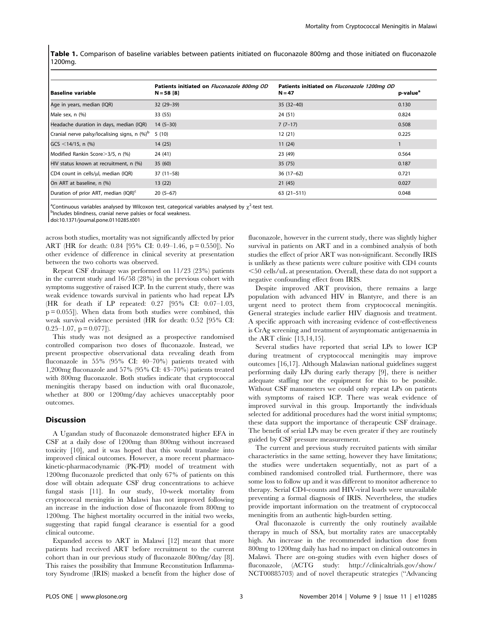Table 1. Comparison of baseline variables between patients initiated on fluconazole 800mg and those initiated on fluconazole 1200mg.

| <b>Baseline variable</b>                                 | Patients initiated on Fluconazole 800mg OD<br>$N = 58$ [8] | Patients initiated on Fluconazole 1200mg OD<br>$N = 47$ | p-value <sup>a</sup> |
|----------------------------------------------------------|------------------------------------------------------------|---------------------------------------------------------|----------------------|
| Age in years, median (IQR)                               | $32(29-39)$                                                | $35(32-40)$                                             | 0.130                |
| Male sex, n (%)                                          | 33 (55)                                                    | 24 (51)                                                 | 0.824                |
| Headache duration in days, median (IQR)                  | $14(5-30)$                                                 | $7(7-17)$                                               | 0.508                |
| Cranial nerve palsy/localising signs, n (%) <sup>b</sup> | 5(10)                                                      | 12(21)                                                  | 0.225                |
| $GCS < 14/15$ , n (%)                                    | 14(25)                                                     | 11(24)                                                  |                      |
| Modified Rankin Score > 3/5, n (%)                       | 24 (41)                                                    | 23 (49)                                                 | 0.564                |
| HIV status known at recruitment, n (%)                   | 35(60)                                                     | 35(75)                                                  | 0.187                |
| CD4 count in cells/µl, median (IQR)                      | $37(11-58)$                                                | $36(17-62)$                                             | 0.721                |
| On ART at baseline, n (%)                                | 13(22)                                                     | 21(45)                                                  | 0.027                |
| Duration of prior ART, median (IQR) <sup>c</sup>         | $20(5-67)$                                                 | $63(21-511)$                                            | 0.048                |

<sup>a</sup>Continuous variables analysed by Wilcoxon test, categorical variables analysed by  $\chi^2$ -test test.<br><sup>b</sup>includes blindness, cranial nenve palsies or focal weakness.

bIncludes blindness, cranial nerve palsies or focal weakness.

doi:10.1371/journal.pone.0110285.t001

across both studies, mortality was not significantly affected by prior ART (HR for death: 0.84 [95% CI: 0.49–1.46, p = 0.550]). No other evidence of difference in clinical severity at presentation between the two cohorts was observed.

Repeat CSF drainage was performed on 11/23 (23%) patients in the current study and 16/58 (28%) in the previous cohort with symptoms suggestive of raised ICP. In the current study, there was weak evidence towards survival in patients who had repeat LPs (HR for death if LP repeated: 0.27 [95% CI: 0.07–1.03,  $p = 0.055$ ]). When data from both studies were combined, this weak survival evidence persisted (HR for death: 0.52 [95% CI:  $0.25-1.07$ ,  $p = 0.077$ ]).

This study was not designed as a prospective randomised controlled comparison two doses of fluconazole. Instead, we present prospective observational data revealing death from fluconazole in 55% (95% CI: 40–70%) patients treated with 1,200mg fluconazole and 57% (95% CI: 43–70%) patients treated with 800mg fluconazole. Both studies indicate that cryptococcal meningitis therapy based on induction with oral fluconazole, whether at 800 or 1200mg/day achieves unacceptably poor outcomes.

#### **Discussion**

A Ugandan study of fluconazole demonstrated higher EFA in CSF at a daily dose of 1200mg than 800mg without increased toxicity [10], and it was hoped that this would translate into improved clinical outcomes. However, a more recent pharmacokinetic-pharmacodynamic (PK-PD) model of treatment with 1200mg fluconazole predicted that only 67% of patients on this dose will obtain adequate CSF drug concentrations to achieve fungal stasis [11]. In our study, 10-week mortality from cryptococcal meningitis in Malawi has not improved following an increase in the induction dose of fluconazole from 800mg to 1200mg. The highest mortality occurred in the initial two weeks, suggesting that rapid fungal clearance is essential for a good clinical outcome.

Expanded access to ART in Malawi [12] meant that more patients had received ART before recruitment to the current cohort than in our previous study of fluconazole 800mg/day [8]. This raises the possibility that Immune Reconstitution Inflammatory Syndrome (IRIS) masked a benefit from the higher dose of fluconazole, however in the current study, there was slightly higher survival in patients on ART and in a combined analysis of both studies the effect of prior ART was non-significant. Secondly IRIS is unlikely as these patients were culture positive with CD4 counts  $\leq$ 50 cells/uL at presentation. Overall, these data do not support a negative confounding effect from IRIS.

Despite improved ART provision, there remains a large population with advanced HIV in Blantyre, and there is an urgent need to protect them from cryptococcal meningitis. General strategies include earlier HIV diagnosis and treatment. A specific approach with increasing evidence of cost-effectiveness is CrAg screening and treatment of asymptomatic antigenaemia in the ART clinic [13,14,15].

Several studies have reported that serial LPs to lower ICP during treatment of cryptococcal meningitis may improve outcomes [16,17]. Although Malawian national guidelines suggest performing daily LPs during early therapy [9], there is neither adequate staffing nor the equipment for this to be possible. Without CSF manometers we could only repeat LPs on patients with symptoms of raised ICP. There was weak evidence of improved survival in this group. Importantly the individuals selected for additional procedures had the worst initial symptoms; these data support the importance of therapeutic CSF drainage. The benefit of serial LPs may be even greater if they are routinely guided by CSF pressure measurement.

The current and previous study recruited patients with similar characteristics in the same setting, however they have limitations; the studies were undertaken sequentially, not as part of a combined randomised controlled trial. Furthermore, there was some loss to follow up and it was different to monitor adherence to therapy. Serial CD4-counts and HIV-viral loads were unavailable preventing a formal diagnosis of IRIS. Nevertheless, the studies provide important information on the treatment of cryptococcal meningitis from an authentic high-burden setting.

Oral fluconazole is currently the only routinely available therapy in much of SSA, but mortality rates are unacceptably high. An increase in the recommended induction dose from 800mg to 1200mg daily has had no impact on clinical outcomes in Malawi. There are on-going studies with even higher doses of fluconazole, (ACTG study: [http://clinicaltrials.gov/show/](http://clinicaltrials.gov/show/NCT00885703) [NCT00885703](http://clinicaltrials.gov/show/NCT00885703)) and of novel therapeutic strategies (''Advancing